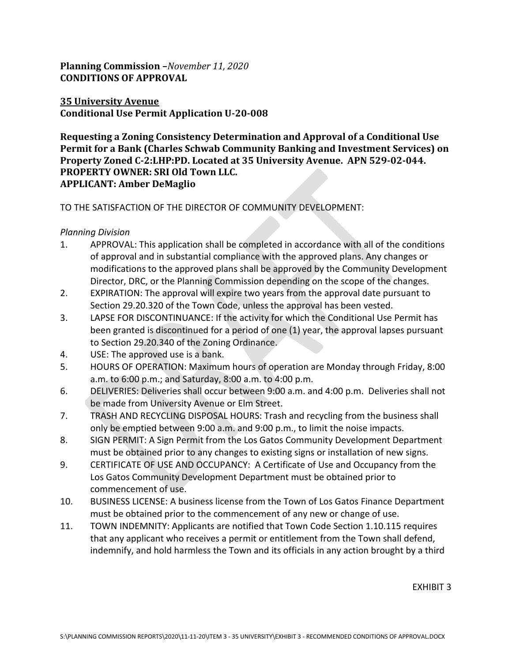## **Planning Commission –***November 11, 2020* **CONDITIONS OF APPROVAL**

## **35 University Avenue Conditional Use Permit Application U-20-008**

**Requesting a Zoning Consistency Determination and Approval of a Conditional Use Permit for a Bank (Charles Schwab Community Banking and Investment Services) on Property Zoned C-2:LHP:PD. Located at 35 University Avenue. APN 529-02-044. PROPERTY OWNER: SRI Old Town LLC. APPLICANT: Amber DeMaglio**

## TO THE SATISFACTION OF THE DIRECTOR OF COMMUNITY DEVELOPMENT:

## *Planning Division*

- 1. APPROVAL: This application shall be completed in accordance with all of the conditions of approval and in substantial compliance with the approved plans. Any changes or modifications to the approved plans shall be approved by the Community Development Director, DRC, or the Planning Commission depending on the scope of the changes.
- 2. EXPIRATION: The approval will expire two years from the approval date pursuant to Section 29.20.320 of the Town Code, unless the approval has been vested.
- 3. LAPSE FOR DISCONTINUANCE: If the activity for which the Conditional Use Permit has been granted is discontinued for a period of one (1) year, the approval lapses pursuant to Section 29.20.340 of the Zoning Ordinance.
- 4. USE: The approved use is a bank.
- 5. HOURS OF OPERATION: Maximum hours of operation are Monday through Friday, 8:00 a.m. to 6:00 p.m.; and Saturday, 8:00 a.m. to 4:00 p.m.
- 6. DELIVERIES: Deliveries shall occur between 9:00 a.m. and 4:00 p.m. Deliveries shall not be made from University Avenue or Elm Street.
- 7. TRASH AND RECYCLING DISPOSAL HOURS: Trash and recycling from the business shall only be emptied between 9:00 a.m. and 9:00 p.m., to limit the noise impacts.
- 8. SIGN PERMIT: A Sign Permit from the Los Gatos Community Development Department must be obtained prior to any changes to existing signs or installation of new signs.
- 9. CERTIFICATE OF USE AND OCCUPANCY: A Certificate of Use and Occupancy from the Los Gatos Community Development Department must be obtained prior to commencement of use.
- 10. BUSINESS LICENSE: A business license from the Town of Los Gatos Finance Department must be obtained prior to the commencement of any new or change of use.
- 11. TOWN INDEMNITY: Applicants are notified that Town Code Section 1.10.115 requires that any applicant who receives a permit or entitlement from the Town shall defend, indemnify, and hold harmless the Town and its officials in any action brought by a third

EXHIBIT 3